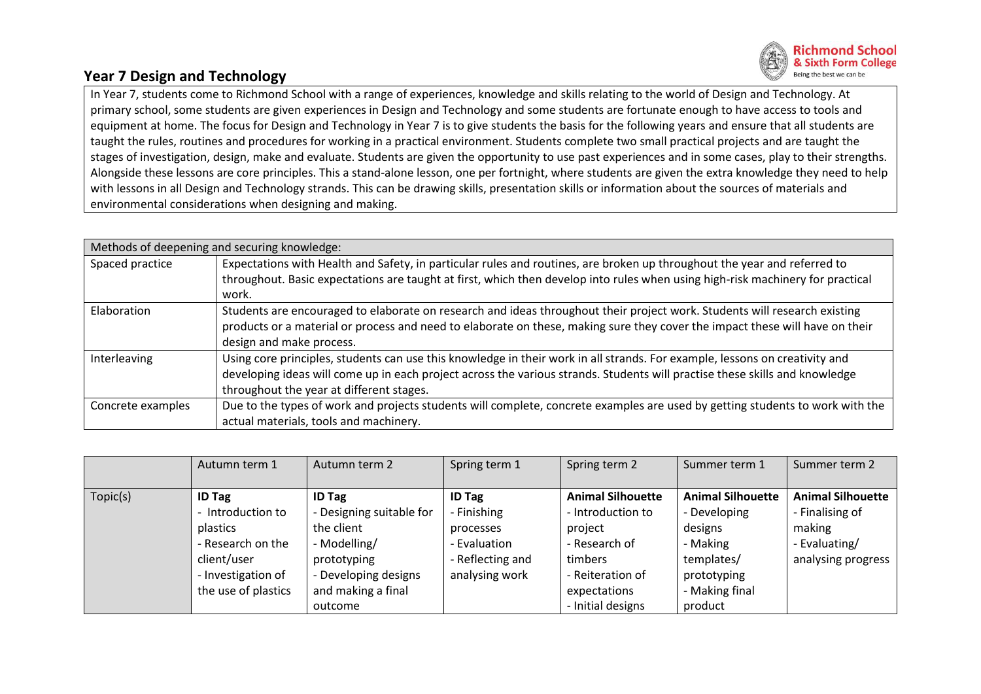

## **Year 7 Design and Technology**

In Year 7, students come to Richmond School with a range of experiences, knowledge and skills relating to the world of Design and Technology. At primary school, some students are given experiences in Design and Technology and some students are fortunate enough to have access to tools and equipment at home. The focus for Design and Technology in Year 7 is to give students the basis for the following years and ensure that all students are taught the rules, routines and procedures for working in a practical environment. Students complete two small practical projects and are taught the stages of investigation, design, make and evaluate. Students are given the opportunity to use past experiences and in some cases, play to their strengths. Alongside these lessons are core principles. This a stand-alone lesson, one per fortnight, where students are given the extra knowledge they need to help with lessons in all Design and Technology strands. This can be drawing skills, presentation skills or information about the sources of materials and environmental considerations when designing and making.

| Methods of deepening and securing knowledge: |                                                                                                                                |  |  |  |  |
|----------------------------------------------|--------------------------------------------------------------------------------------------------------------------------------|--|--|--|--|
| Spaced practice                              | Expectations with Health and Safety, in particular rules and routines, are broken up throughout the year and referred to       |  |  |  |  |
|                                              | throughout. Basic expectations are taught at first, which then develop into rules when using high-risk machinery for practical |  |  |  |  |
|                                              | work.                                                                                                                          |  |  |  |  |
| Elaboration                                  | Students are encouraged to elaborate on research and ideas throughout their project work. Students will research existing      |  |  |  |  |
|                                              | products or a material or process and need to elaborate on these, making sure they cover the impact these will have on their   |  |  |  |  |
|                                              | design and make process.                                                                                                       |  |  |  |  |
| Interleaving                                 | Using core principles, students can use this knowledge in their work in all strands. For example, lessons on creativity and    |  |  |  |  |
|                                              | developing ideas will come up in each project across the various strands. Students will practise these skills and knowledge    |  |  |  |  |
|                                              | throughout the year at different stages.                                                                                       |  |  |  |  |
| Concrete examples                            | Due to the types of work and projects students will complete, concrete examples are used by getting students to work with the  |  |  |  |  |
|                                              | actual materials, tools and machinery.                                                                                         |  |  |  |  |

|          | Autumn term 1       | Autumn term 2            | Spring term 1    | Spring term 2            | Summer term 1            | Summer term 2            |
|----------|---------------------|--------------------------|------------------|--------------------------|--------------------------|--------------------------|
|          |                     |                          |                  |                          |                          |                          |
| Topic(s) | <b>ID Tag</b>       | <b>ID Tag</b>            | <b>ID Tag</b>    | <b>Animal Silhouette</b> | <b>Animal Silhouette</b> | <b>Animal Silhouette</b> |
|          | Introduction to     | - Designing suitable for | - Finishing      | - Introduction to        | - Developing             | - Finalising of          |
|          | plastics            | the client               | processes        | project                  | designs                  | making                   |
|          | - Research on the   | - Modelling/             | - Evaluation     | - Research of            | - Making                 | - Evaluating/            |
|          | client/user         | prototyping              | - Reflecting and | timbers                  | templates/               | analysing progress       |
|          | - Investigation of  | - Developing designs     | analysing work   | - Reiteration of         | prototyping              |                          |
|          | the use of plastics | and making a final       |                  | expectations             | - Making final           |                          |
|          |                     | outcome                  |                  | - Initial designs        | product                  |                          |